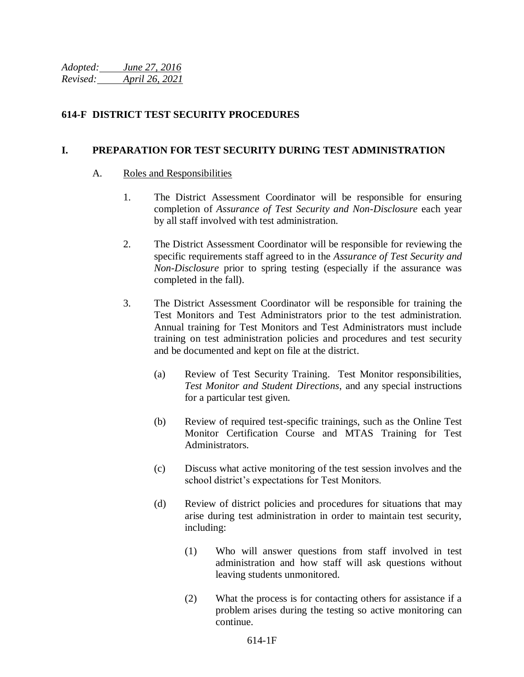*Adopted: June 27, 2016 Revised: April 26, 2021* 

#### **614-F DISTRICT TEST SECURITY PROCEDURES**

#### **I. PREPARATION FOR TEST SECURITY DURING TEST ADMINISTRATION**

#### A. Roles and Responsibilities

- 1. The District Assessment Coordinator will be responsible for ensuring completion of *Assurance of Test Security and Non-Disclosure* each year by all staff involved with test administration.
- 2. The District Assessment Coordinator will be responsible for reviewing the specific requirements staff agreed to in the *Assurance of Test Security and Non-Disclosure* prior to spring testing (especially if the assurance was completed in the fall).
- 3. The District Assessment Coordinator will be responsible for training the Test Monitors and Test Administrators prior to the test administration. Annual training for Test Monitors and Test Administrators must include training on test administration policies and procedures and test security and be documented and kept on file at the district.
	- (a) Review of Test Security Training. Test Monitor responsibilities, *Test Monitor and Student Directions*, and any special instructions for a particular test given.
	- (b) Review of required test-specific trainings, such as the Online Test Monitor Certification Course and MTAS Training for Test Administrators.
	- (c) Discuss what active monitoring of the test session involves and the school district's expectations for Test Monitors.
	- (d) Review of district policies and procedures for situations that may arise during test administration in order to maintain test security, including:
		- (1) Who will answer questions from staff involved in test administration and how staff will ask questions without leaving students unmonitored.
		- (2) What the process is for contacting others for assistance if a problem arises during the testing so active monitoring can continue.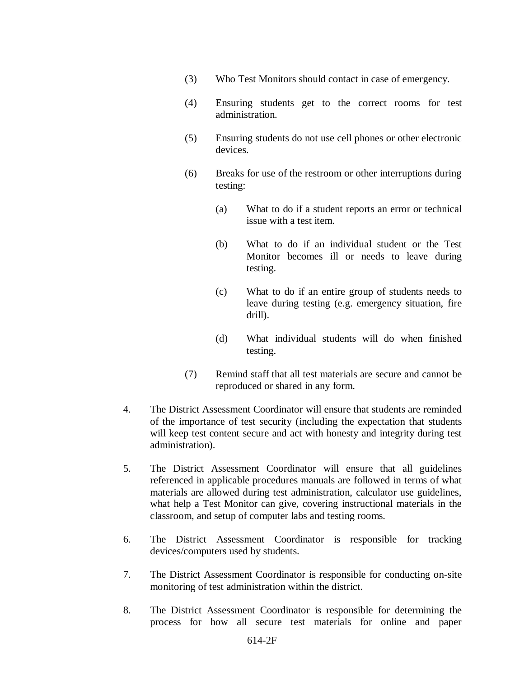- (3) Who Test Monitors should contact in case of emergency.
- (4) Ensuring students get to the correct rooms for test administration.
- (5) Ensuring students do not use cell phones or other electronic devices.
- (6) Breaks for use of the restroom or other interruptions during testing:
	- (a) What to do if a student reports an error or technical issue with a test item.
	- (b) What to do if an individual student or the Test Monitor becomes ill or needs to leave during testing.
	- (c) What to do if an entire group of students needs to leave during testing (e.g. emergency situation, fire drill).
	- (d) What individual students will do when finished testing.
- (7) Remind staff that all test materials are secure and cannot be reproduced or shared in any form.
- 4. The District Assessment Coordinator will ensure that students are reminded of the importance of test security (including the expectation that students will keep test content secure and act with honesty and integrity during test administration).
- 5. The District Assessment Coordinator will ensure that all guidelines referenced in applicable procedures manuals are followed in terms of what materials are allowed during test administration, calculator use guidelines, what help a Test Monitor can give, covering instructional materials in the classroom, and setup of computer labs and testing rooms.
- 6. The District Assessment Coordinator is responsible for tracking devices/computers used by students.
- 7. The District Assessment Coordinator is responsible for conducting on-site monitoring of test administration within the district.
- 8. The District Assessment Coordinator is responsible for determining the process for how all secure test materials for online and paper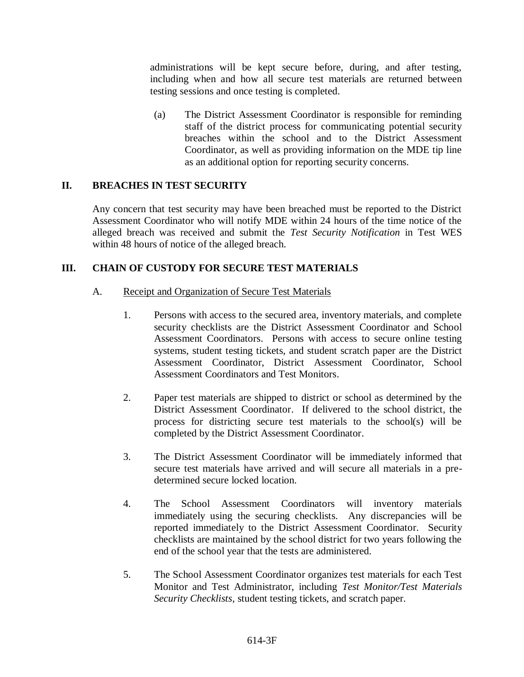administrations will be kept secure before, during, and after testing, including when and how all secure test materials are returned between testing sessions and once testing is completed.

(a) The District Assessment Coordinator is responsible for reminding staff of the district process for communicating potential security breaches within the school and to the District Assessment Coordinator, as well as providing information on the MDE tip line as an additional option for reporting security concerns.

#### **II. BREACHES IN TEST SECURITY**

Any concern that test security may have been breached must be reported to the District Assessment Coordinator who will notify MDE within 24 hours of the time notice of the alleged breach was received and submit the *Test Security Notification* in Test WES within 48 hours of notice of the alleged breach.

#### **III. CHAIN OF CUSTODY FOR SECURE TEST MATERIALS**

- A. Receipt and Organization of Secure Test Materials
	- 1. Persons with access to the secured area, inventory materials, and complete security checklists are the District Assessment Coordinator and School Assessment Coordinators. Persons with access to secure online testing systems, student testing tickets, and student scratch paper are the District Assessment Coordinator, District Assessment Coordinator, School Assessment Coordinators and Test Monitors.
	- 2. Paper test materials are shipped to district or school as determined by the District Assessment Coordinator. If delivered to the school district, the process for districting secure test materials to the school(s) will be completed by the District Assessment Coordinator.
	- 3. The District Assessment Coordinator will be immediately informed that secure test materials have arrived and will secure all materials in a predetermined secure locked location.
	- 4. The School Assessment Coordinators will inventory materials immediately using the securing checklists. Any discrepancies will be reported immediately to the District Assessment Coordinator. Security checklists are maintained by the school district for two years following the end of the school year that the tests are administered.
	- 5. The School Assessment Coordinator organizes test materials for each Test Monitor and Test Administrator, including *Test Monitor/Test Materials Security Checklists*, student testing tickets, and scratch paper.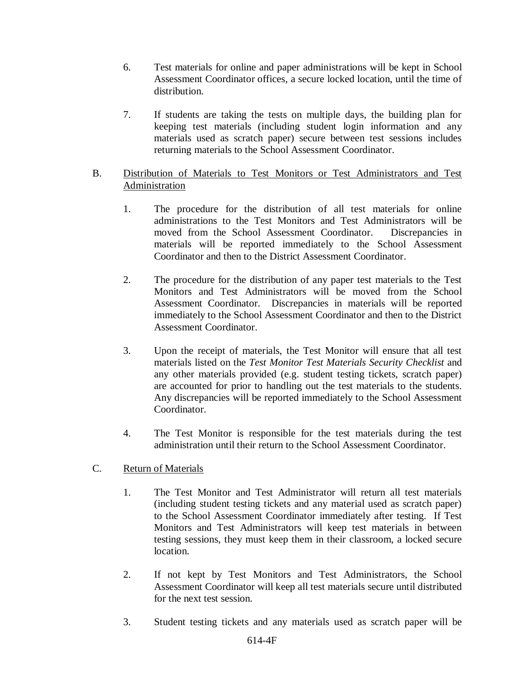- 6. Test materials for online and paper administrations will be kept in School Assessment Coordinator offices, a secure locked location, until the time of distribution.
- 7. If students are taking the tests on multiple days, the building plan for keeping test materials (including student login information and any materials used as scratch paper) secure between test sessions includes returning materials to the School Assessment Coordinator.

#### B. Distribution of Materials to Test Monitors or Test Administrators and Test Administration

- 1. The procedure for the distribution of all test materials for online administrations to the Test Monitors and Test Administrators will be moved from the School Assessment Coordinator. Discrepancies in materials will be reported immediately to the School Assessment Coordinator and then to the District Assessment Coordinator.
- 2. The procedure for the distribution of any paper test materials to the Test Monitors and Test Administrators will be moved from the School Assessment Coordinator. Discrepancies in materials will be reported immediately to the School Assessment Coordinator and then to the District Assessment Coordinator.
- 3. Upon the receipt of materials, the Test Monitor will ensure that all test materials listed on the *Test Monitor Test Materials Security Checklist* and any other materials provided (e.g. student testing tickets, scratch paper) are accounted for prior to handling out the test materials to the students. Any discrepancies will be reported immediately to the School Assessment Coordinator.
- 4. The Test Monitor is responsible for the test materials during the test administration until their return to the School Assessment Coordinator.

#### C. Return of Materials

- 1. The Test Monitor and Test Administrator will return all test materials (including student testing tickets and any material used as scratch paper) to the School Assessment Coordinator immediately after testing. If Test Monitors and Test Administrators will keep test materials in between testing sessions, they must keep them in their classroom, a locked secure location.
- 2. If not kept by Test Monitors and Test Administrators, the School Assessment Coordinator will keep all test materials secure until distributed for the next test session.
- 3. Student testing tickets and any materials used as scratch paper will be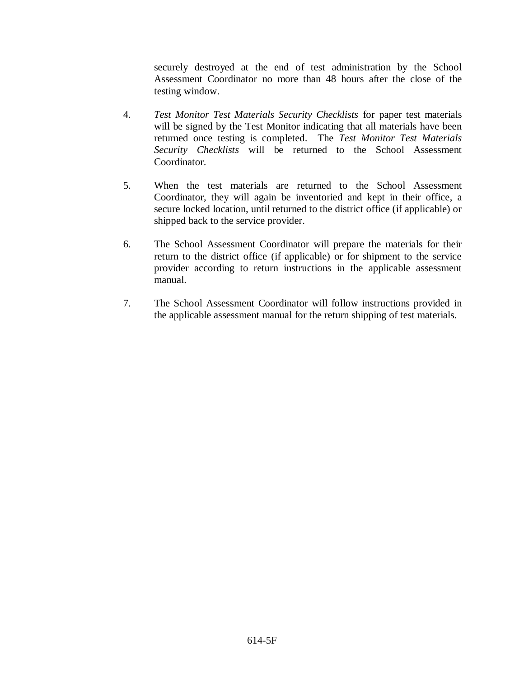securely destroyed at the end of test administration by the School Assessment Coordinator no more than 48 hours after the close of the testing window.

- 4. *Test Monitor Test Materials Security Checklists* for paper test materials will be signed by the Test Monitor indicating that all materials have been returned once testing is completed. The *Test Monitor Test Materials Security Checklists* will be returned to the School Assessment Coordinator.
- 5. When the test materials are returned to the School Assessment Coordinator, they will again be inventoried and kept in their office, a secure locked location, until returned to the district office (if applicable) or shipped back to the service provider.
- 6. The School Assessment Coordinator will prepare the materials for their return to the district office (if applicable) or for shipment to the service provider according to return instructions in the applicable assessment manual.
- 7. The School Assessment Coordinator will follow instructions provided in the applicable assessment manual for the return shipping of test materials.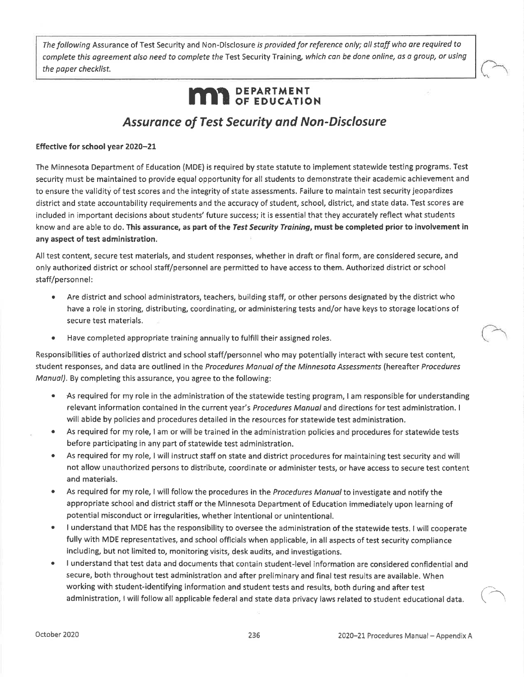The following Assurance of Test Security and Non-Disclosure is provided for reference only; all staff who are required to complete this agreement also need to complete the Test Security Training, which can be done online, as a group, or using the paper checklist.

# **MAR** DEPARTMENT

## **Assurance of Test Security and Non-Disclosure**

#### Effective for school year 2020-21

The Minnesota Department of Education (MDE) is required by state statute to implement statewide testing programs. Test security must be maintained to provide equal opportunity for all students to demonstrate their academic achievement and to ensure the validity of test scores and the integrity of state assessments. Failure to maintain test security jeopardizes district and state accountability requirements and the accuracy of student, school, district, and state data. Test scores are included in important decisions about students' future success; it is essential that they accurately reflect what students know and are able to do. This assurance, as part of the Test Security Training, must be completed prior to involvement in any aspect of test administration.

All test content, secure test materials, and student responses, whether in draft or final form, are considered secure, and only authorized district or school staff/personnel are permitted to have access to them. Authorized district or school staff/personnel:

- Are district and school administrators, teachers, building staff, or other persons designated by the district who have a role in storing, distributing, coordinating, or administering tests and/or have keys to storage locations of secure test materials.
- Have completed appropriate training annually to fulfill their assigned roles.

Responsibilities of authorized district and school staff/personnel who may potentially interact with secure test content, student responses, and data are outlined in the Procedures Manual of the Minnesota Assessments (hereafter Procedures Manual). By completing this assurance, you agree to the following:

- As required for my role in the administration of the statewide testing program, I am responsible for understanding  $\bullet$ relevant information contained in the current year's Procedures Manual and directions for test administration. I will abide by policies and procedures detailed in the resources for statewide test administration.
- As required for my role, I am or will be trained in the administration policies and procedures for statewide tests  $\bullet$ before participating in any part of statewide test administration.
- As required for my role, I will instruct staff on state and district procedures for maintaining test security and will  $\bullet$ not allow unauthorized persons to distribute, coordinate or administer tests, or have access to secure test content and materials.
- As required for my role, I will follow the procedures in the Procedures Manual to investigate and notify the  $\bullet$ appropriate school and district staff or the Minnesota Department of Education immediately upon learning of potential misconduct or irregularities, whether intentional or unintentional.
- I understand that MDE has the responsibility to oversee the administration of the statewide tests. I will cooperate  $\bullet$ fully with MDE representatives, and school officials when applicable, in all aspects of test security compliance including, but not limited to, monitoring visits, desk audits, and investigations.
- I understand that test data and documents that contain student-level information are considered confidential and secure, both throughout test administration and after preliminary and final test results are available. When working with student-identifying information and student tests and results, both during and after test administration, I will follow all applicable federal and state data privacy laws related to student educational data.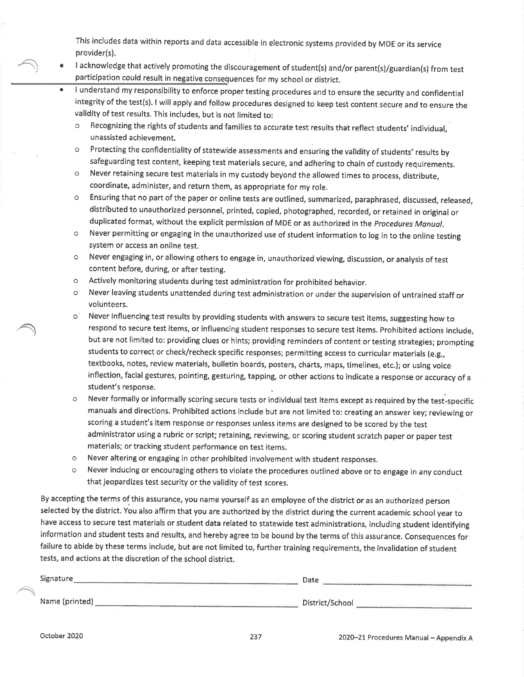This includes data within reports and data accessible in electronic systems provided by MDE or its service provider(s).

- I acknowledge that actively promoting the discouragement of student(s) and/or parent(s)/guardian(s) from test participation could result in negative consequences for my school or district.
	- I understand my responsibility to enforce proper testing procedures and to ensure the security and confidential integrity of the test(s). I will apply and follow procedures designed to keep test content secure and to ensure the validity of test results. This includes, but is not limited to:
		- Recognizing the rights of students and families to accurate test results that reflect students' individual,  $\circ$ unassisted achievement.
		- Protecting the confidentiality of statewide assessments and ensuring the validity of students' results by  $\cap$ safeguarding test content, keeping test materials secure, and adhering to chain of custody requirements.
		- Never retaining secure test materials in my custody beyond the allowed times to process, distribute,  $\circ$ coordinate, administer, and return them, as appropriate for my role.
		- Ensuring that no part of the paper or online tests are outlined, summarized, paraphrased, discussed, released,  $\circ$ distributed to unauthorized personnel, printed, copied, photographed, recorded, or retained in original or duplicated format, without the explicit permission of MDE or as authorized in the Procedures Manual.
		- Never permitting or engaging in the unauthorized use of student information to log in to the online testing  $\circ$ system or access an online test.
		- Never engaging in, or allowing others to engage in, unauthorized viewing, discussion, or analysis of test  $\circ$ content before, during, or after testing.
		- Actively monitoring students during test administration for prohibited behavior.  $\circ$
		- Never leaving students unattended during test administration or under the supervision of untrained staff or  $\circ$ volunteers.
		- Never influencing test results by providing students with answers to secure test items, suggesting how to  $\circ$ respond to secure test items, or influencing student responses to secure test items. Prohibited actions include, but are not limited to: providing clues or hints; providing reminders of content or testing strategies; prompting students to correct or check/recheck specific responses; permitting access to curricular materials (e.g., textbooks, notes, review materials, bulletin boards, posters, charts, maps, timelines, etc.); or using voice inflection, facial gestures, pointing, gesturing, tapping, or other actions to indicate a response or accuracy of a student's response.
		- Never formally or informally scoring secure tests or individual test items except as required by the test-specific  $\circ$ manuals and directions. Prohibited actions include but are not limited to: creating an answer key; reviewing or scoring a student's item response or responses unless items are designed to be scored by the test administrator using a rubric or script; retaining, reviewing, or scoring student scratch paper or paper test materials; or tracking student performance on test items.
		- Never altering or engaging in other prohibited involvement with student responses.  $\circ$
		- Never inducing or encouraging others to violate the procedures outlined above or to engage in any conduct  $\circ$ that jeopardizes test security or the validity of test scores.

By accepting the terms of this assurance, you name yourself as an employee of the district or as an authorized person selected by the district. You also affirm that you are authorized by the district during the current academic school year to have access to secure test materials or student data related to statewide test administrations, including student identifying information and student tests and results, and hereby agree to be bound by the terms of this assurance. Consequences for failure to abide by these terms include, but are not limited to, further training requirements, the invalidation of student tests, and actions at the discretion of the school district.

| Signature      | Date            |
|----------------|-----------------|
| Name (printed) | District/School |